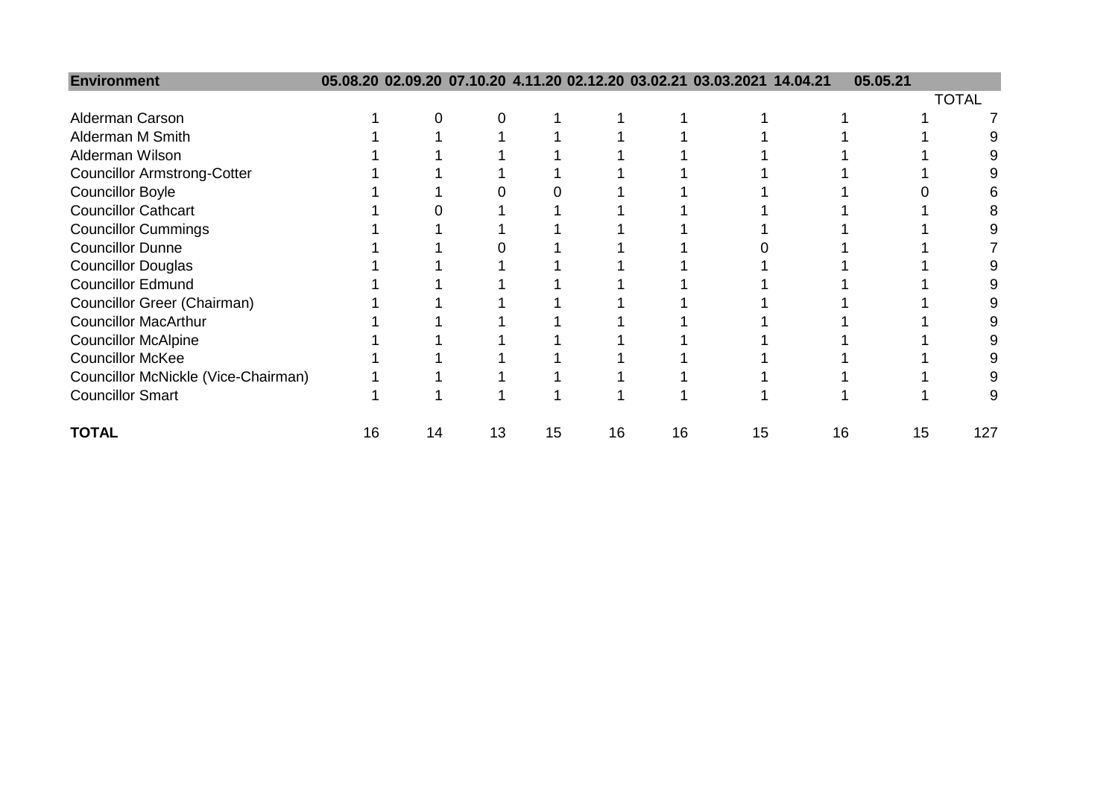| <b>Environment</b>                  |    |    |    |    |    |    | 05.08.20 02.09.20 07.10.20 4.11.20 02.12.20 03.02.21 03.03.2021 14.04.21 |    | 05.05.21 |              |
|-------------------------------------|----|----|----|----|----|----|--------------------------------------------------------------------------|----|----------|--------------|
|                                     |    |    |    |    |    |    |                                                                          |    |          | <b>TOTAL</b> |
| Alderman Carson                     |    |    |    |    |    |    |                                                                          |    |          |              |
| Alderman M Smith                    |    |    |    |    |    |    |                                                                          |    |          |              |
| Alderman Wilson                     |    |    |    |    |    |    |                                                                          |    |          |              |
| <b>Councillor Armstrong-Cotter</b>  |    |    |    |    |    |    |                                                                          |    |          |              |
| <b>Councillor Boyle</b>             |    |    |    |    |    |    |                                                                          |    |          |              |
| <b>Councillor Cathcart</b>          |    |    |    |    |    |    |                                                                          |    |          |              |
| <b>Councillor Cummings</b>          |    |    |    |    |    |    |                                                                          |    |          |              |
| <b>Councillor Dunne</b>             |    |    |    |    |    |    |                                                                          |    |          |              |
| <b>Councillor Douglas</b>           |    |    |    |    |    |    |                                                                          |    |          |              |
| <b>Councillor Edmund</b>            |    |    |    |    |    |    |                                                                          |    |          |              |
| Councillor Greer (Chairman)         |    |    |    |    |    |    |                                                                          |    |          |              |
| <b>Councillor MacArthur</b>         |    |    |    |    |    |    |                                                                          |    |          |              |
| <b>Councillor McAlpine</b>          |    |    |    |    |    |    |                                                                          |    |          |              |
| <b>Councillor McKee</b>             |    |    |    |    |    |    |                                                                          |    |          |              |
| Councillor McNickle (Vice-Chairman) |    |    |    |    |    |    |                                                                          |    |          |              |
| <b>Councillor Smart</b>             |    |    |    |    |    |    |                                                                          |    |          | 9            |
| <b>TOTAL</b>                        | 16 | 14 | 13 | 15 | 16 | 16 | 15                                                                       | 16 | 15       | 127          |